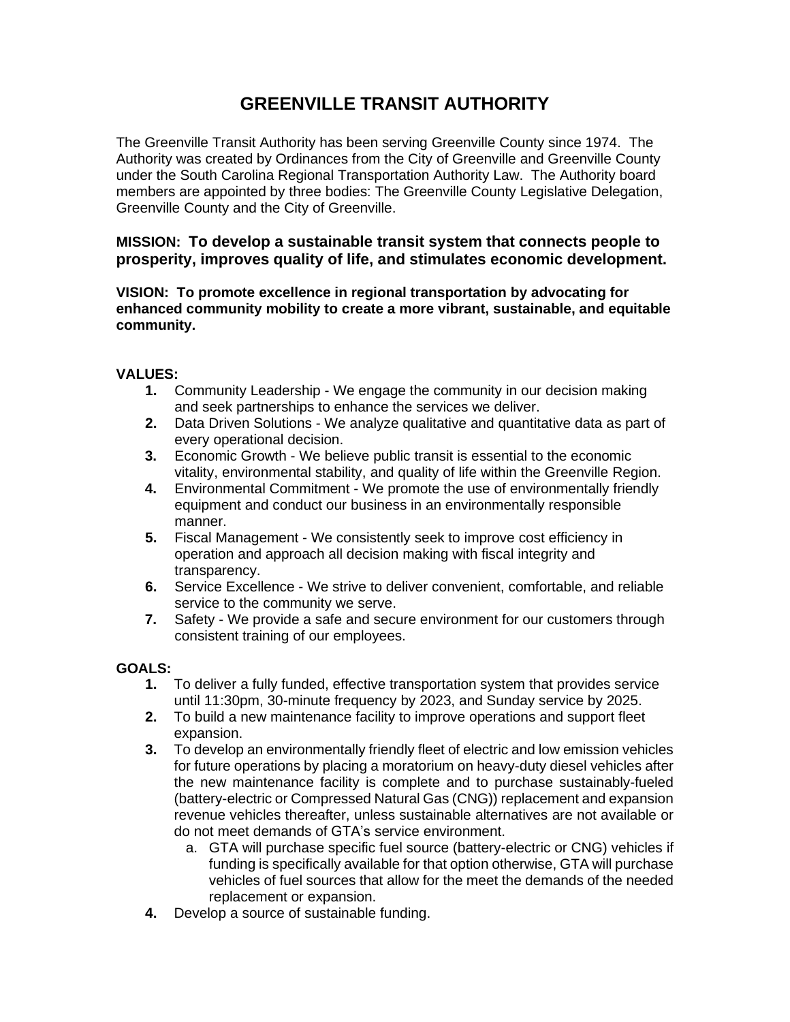## **GREENVILLE TRANSIT AUTHORITY**

The Greenville Transit Authority has been serving Greenville County since 1974. The Authority was created by Ordinances from the City of Greenville and Greenville County under the South Carolina Regional Transportation Authority Law. The Authority board members are appointed by three bodies: The Greenville County Legislative Delegation, Greenville County and the City of Greenville.

**MISSION: To develop a sustainable transit system that connects people to prosperity, improves quality of life, and stimulates economic development.** 

**VISION: To promote excellence in regional transportation by advocating for enhanced community mobility to create a more vibrant, sustainable, and equitable community.**

## **VALUES:**

- **1.** Community Leadership We engage the community in our decision making and seek partnerships to enhance the services we deliver.
- **2.** Data Driven Solutions We analyze qualitative and quantitative data as part of every operational decision.
- **3.** Economic Growth We believe public transit is essential to the economic vitality, environmental stability, and quality of life within the Greenville Region.
- **4.** Environmental Commitment We promote the use of environmentally friendly equipment and conduct our business in an environmentally responsible manner.
- **5.** Fiscal Management We consistently seek to improve cost efficiency in operation and approach all decision making with fiscal integrity and transparency.
- **6.** Service Excellence We strive to deliver convenient, comfortable, and reliable service to the community we serve.
- **7.** Safety We provide a safe and secure environment for our customers through consistent training of our employees.

## **GOALS:**

- **1.** To deliver a fully funded, effective transportation system that provides service until 11:30pm, 30-minute frequency by 2023, and Sunday service by 2025.
- **2.** To build a new maintenance facility to improve operations and support fleet expansion.
- **3.** To develop an environmentally friendly fleet of electric and low emission vehicles for future operations by placing a moratorium on heavy-duty diesel vehicles after the new maintenance facility is complete and to purchase sustainably-fueled (battery-electric or Compressed Natural Gas (CNG)) replacement and expansion revenue vehicles thereafter, unless sustainable alternatives are not available or do not meet demands of GTA's service environment.
	- a. GTA will purchase specific fuel source (battery-electric or CNG) vehicles if funding is specifically available for that option otherwise, GTA will purchase vehicles of fuel sources that allow for the meet the demands of the needed replacement or expansion.
- **4.** Develop a source of sustainable funding.